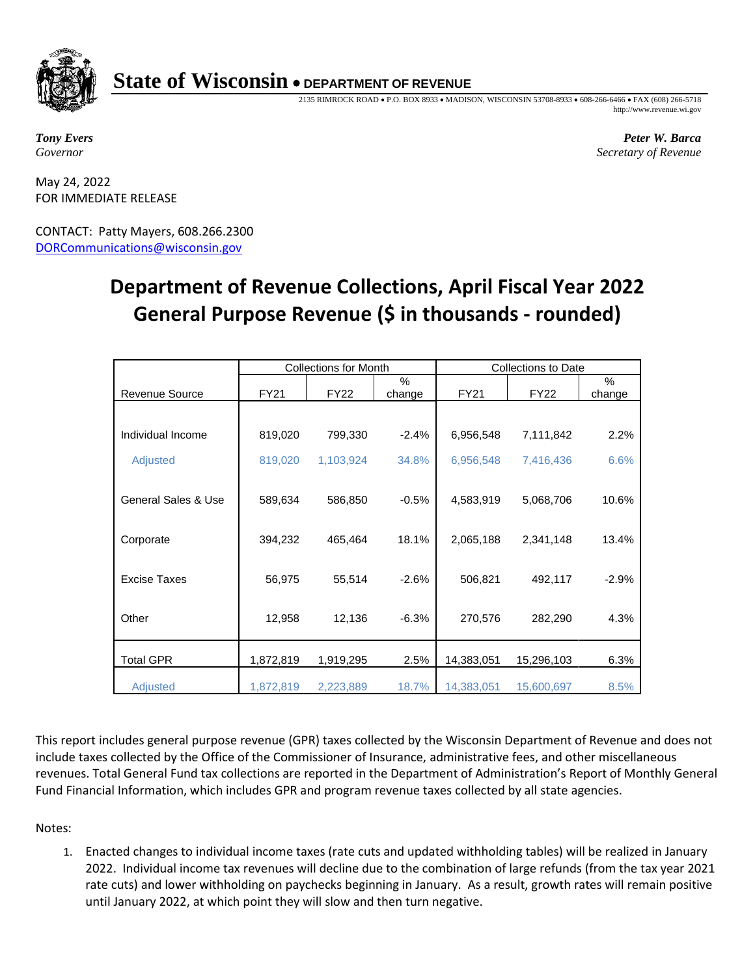

## **State of Wisconsin** • **DEPARTMENT OF REVENUE**

2135 RIMROCK ROAD • P.O. BOX 8933 • MADISON, WISCONSIN 53708-8933 • 608-266-6466 • FAX (608) 266-5718 http://www.revenue.wi.gov

*Tony Evers Governor*

 *Peter W. Barca Secretary of Revenue*

May 24, 2022 FOR IMMEDIATE RELEASE

CONTACT: Patty Mayers, 608.266.2300 [DORCommunications@wisconsin.gov](mailto:DORCommunications@wisconsin.gov)

## **Department of Revenue Collections, April Fiscal Year 2022 General Purpose Revenue (\$ in thousands - rounded)**

|                       | <b>Collections for Month</b> |             |             | <b>Collections to Date</b> |             |             |
|-----------------------|------------------------------|-------------|-------------|----------------------------|-------------|-------------|
| <b>Revenue Source</b> | FY21                         | <b>FY22</b> | %<br>change | <b>FY21</b>                | <b>FY22</b> | %<br>change |
|                       |                              |             |             |                            |             |             |
| Individual Income     | 819,020                      | 799,330     | $-2.4%$     | 6,956,548                  | 7,111,842   | 2.2%        |
| Adjusted              | 819,020                      | 1,103,924   | 34.8%       | 6,956,548                  | 7,416,436   | 6.6%        |
| General Sales & Use   | 589,634                      | 586,850     | $-0.5%$     | 4,583,919                  | 5,068,706   | 10.6%       |
| Corporate             | 394,232                      | 465,464     | 18.1%       | 2,065,188                  | 2,341,148   | 13.4%       |
| Excise Taxes          | 56,975                       | 55,514      | $-2.6%$     | 506,821                    | 492,117     | $-2.9%$     |
| Other                 | 12,958                       | 12,136      | $-6.3%$     | 270,576                    | 282,290     | 4.3%        |
| <b>Total GPR</b>      | 1,872,819                    | 1,919,295   | 2.5%        | 14,383,051                 | 15,296,103  | 6.3%        |
| <b>Adjusted</b>       | 1,872,819                    | 2,223,889   | 18.7%       | 14,383,051                 | 15,600,697  | 8.5%        |

This report includes general purpose revenue (GPR) taxes collected by the Wisconsin Department of Revenue and does not include taxes collected by the Office of the Commissioner of Insurance, administrative fees, and other miscellaneous revenues. Total General Fund tax collections are reported in the Department of Administration's Report of Monthly General Fund Financial Information, which includes GPR and program revenue taxes collected by all state agencies.

Notes:

1. Enacted changes to individual income taxes (rate cuts and updated withholding tables) will be realized in January 2022. Individual income tax revenues will decline due to the combination of large refunds (from the tax year 2021 rate cuts) and lower withholding on paychecks beginning in January. As a result, growth rates will remain positive until January 2022, at which point they will slow and then turn negative.